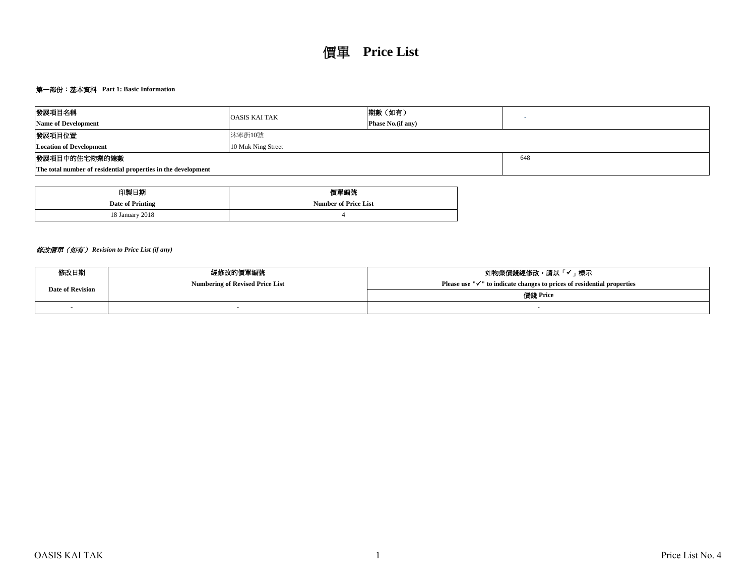# 第一部份:基本資料 **Part 1: Basic Information**

| 發展項目名稱                                                        | <b>OASIS KAI TAK</b> | 期數(如有)                    |  |
|---------------------------------------------------------------|----------------------|---------------------------|--|
| <b>Name of Development</b>                                    |                      | <b>Phase No.</b> (if any) |  |
| 發展項目位置                                                        | 沐寧街10號               |                           |  |
| <b>Location of Development</b>                                |                      |                           |  |
| 發展項目中的住宅物業的總數                                                 | 648                  |                           |  |
| The total number of residential properties in the development |                      |                           |  |

| 印製日期             | 價單編號                        |
|------------------|-----------------------------|
| Date of Printing | <b>Number of Price List</b> |
| 18 January 2018  |                             |

# 修改價單(如有) *Revision to Price List (if any)*

| 修改日期                    | 經修改的價單編號                               | 如物業價錢經修改,請以「✔」標示                                                                    |  |  |  |  |  |
|-------------------------|----------------------------------------|-------------------------------------------------------------------------------------|--|--|--|--|--|
| <b>Date of Revision</b> | <b>Numbering of Revised Price List</b> | Please use " $\checkmark$ " to indicate changes to prices of residential properties |  |  |  |  |  |
|                         |                                        | 價錢 Price                                                                            |  |  |  |  |  |
|                         |                                        |                                                                                     |  |  |  |  |  |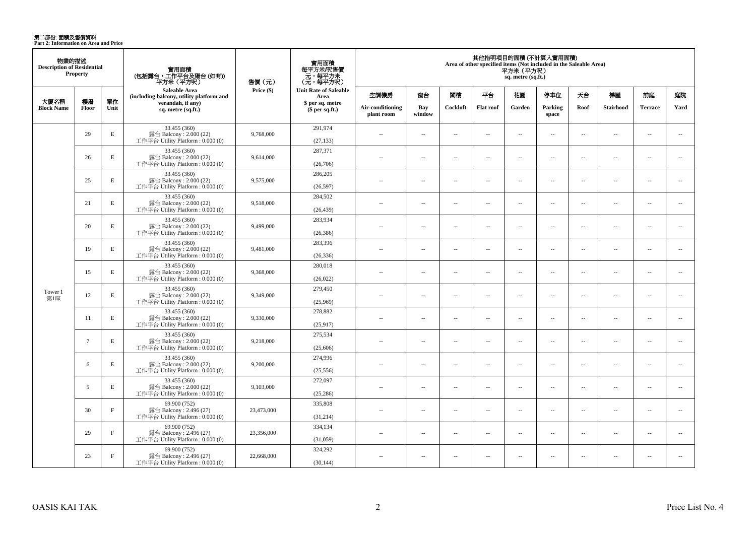**第二部份: 面積及售價資料**<br>Part 2: Information on Area and Price

| 物業的描述<br><b>Description of Residential</b><br><b>Property</b> |                    |              | 實用面積<br>(包括露台,工作平台及陽台(如有))<br>平方米 (平方呎)                                      | 售價 (元)             | 實用面積<br>每平方米/呎售價<br>元,每平方米<br>(元・每平方呎) | 其他指明項目的面積 (不計算入實用面積)<br>Area of other specified items (Not included in the Saleable Area)<br>平方米(平方呎)<br>sq. metre (sq.ft.) |                          |                          |                          |                          |                          |                          |                  |                          |                          |  |
|---------------------------------------------------------------|--------------------|--------------|------------------------------------------------------------------------------|--------------------|----------------------------------------|-----------------------------------------------------------------------------------------------------------------------------|--------------------------|--------------------------|--------------------------|--------------------------|--------------------------|--------------------------|------------------|--------------------------|--------------------------|--|
|                                                               |                    |              | <b>Saleable Area</b><br>(including balcony, utility platform and             | Price (\$)<br>Area | <b>Unit Rate of Saleable</b>           | 空調機房                                                                                                                        | 窗台                       | 閣樓                       | 平台                       | 花園                       | 停車位                      | 天台                       | 梯屋               | 前庭                       | 庭院                       |  |
| 大廈名稱<br><b>Block Name</b>                                     | 樓層<br><b>Floor</b> | 單位<br>Unit   | verandah, if any)<br>sq. metre (sq.ft.)                                      |                    | \$ per sq. metre<br>\$per sq.ft.)      | Air-conditioning<br>plant room                                                                                              | Bav<br>window            | Cockloft                 | <b>Flat roof</b>         | Garden                   | Parking<br>space         | Roof                     | <b>Stairhood</b> | <b>Terrace</b>           | Yard                     |  |
|                                                               | 29                 | E            | 33.455 (360)<br>露台 Balcony: 2.000 (22)<br>工作平台 Utility Platform: 0.000 (0)   | 9,768,000          | 291,974<br>(27, 133)                   | $\overline{a}$                                                                                                              | $\sim$                   | $\sim$                   | μ.                       | μ.                       | $\sim$                   | $\overline{\phantom{a}}$ | ÷.               | $\overline{\phantom{a}}$ | $\overline{\phantom{a}}$ |  |
|                                                               | 26                 | E            | 33.455 (360)<br>露台 Balcony: 2.000 (22)<br>工作平台 Utility Platform: 0.000 (0)   | 9,614,000          | 287,371<br>(26,706)                    | $\overline{a}$                                                                                                              | $\sim$                   | $\sim$                   | μ.                       | μ.                       | $\sim$                   | $\overline{\phantom{a}}$ | ÷.               | $\sim$                   | $\overline{\phantom{a}}$ |  |
|                                                               | 25                 | E            | 33.455 (360)<br>露台 Balcony: 2.000 (22)<br>工作平台 Utility Platform: 0.000 (0)   | 9,575,000          | 286,205<br>(26,597)                    | $\sim$                                                                                                                      | $\sim$                   | $\sim$                   | $\sim$                   | $\overline{a}$           | $\sim$                   | $\overline{\phantom{a}}$ | $\sim$           | $\overline{\phantom{a}}$ | $\overline{\phantom{a}}$ |  |
|                                                               | 21                 | E            | 33.455 (360)<br>露台 Balcony: 2.000 (22)<br>工作平台 Utility Platform: 0.000 (0)   | 9,518,000          | 284,502<br>(26, 439)                   | $\sim$                                                                                                                      | $\overline{a}$           | $\sim$                   | $\overline{a}$           | $\sim$                   | $\sim$                   | $\overline{\phantom{a}}$ | $\sim$           | $\overline{a}$           | $\sim$                   |  |
|                                                               | 20                 | E            | 33.455 (360)<br>露台 Balcony: 2.000 (22)<br>工作平台 Utility Platform: 0.000 (0)   | 9,499,000          | 283,934<br>(26, 386)                   | $\overline{a}$                                                                                                              | $\sim$                   | $\sim$                   | μ.                       | $\overline{a}$           | $\sim$                   | $\overline{\phantom{a}}$ | $\sim$           | $\overline{a}$           | $\overline{\phantom{a}}$ |  |
|                                                               | 19                 | $\mathbf E$  | 33.455 (360)<br>露台 Balcony: 2.000 (22)<br>工作平台 Utility Platform: 0.000 (0)   | 9,481,000          | 283,396<br>(26, 336)                   | $\sim$ $\sim$                                                                                                               | $\overline{\phantom{a}}$ | $\sim$                   | $\overline{\phantom{a}}$ | $\sim$                   | $\sim$                   | $\sim$                   | $\sim$           | $\overline{a}$           | $\sim$                   |  |
|                                                               | 15                 | $\mathbf E$  | 33.455 (360)<br>露台 Balcony: 2.000 (22)<br>工作平台 Utility Platform : 0.000 (0)  | 9,368,000          | 280,018<br>(26, 022)                   | $\sim$                                                                                                                      | $\sim$                   | $\sim$                   | $\sim$                   | $\overline{a}$           | $\sim$                   | $\overline{\phantom{a}}$ | $\sim$           | $\overline{a}$           | $\overline{\phantom{a}}$ |  |
| Tower 1<br>第1座                                                | 12                 | $\mathbf E$  | 33.455 (360)<br>露台 Balcony: 2.000 (22)<br>工作平台 Utility Platform: 0.000 (0)   | 9,349,000          | 279,450<br>(25,969)                    | $\overline{a}$                                                                                                              | $\sim$                   | $\sim$                   | $\sim$                   | μ.                       | $\sim$                   | $\overline{\phantom{a}}$ | $\sim$           | $\overline{\phantom{a}}$ | $\overline{\phantom{a}}$ |  |
|                                                               | 11                 | E            | 33.455 (360)<br>露台 Balcony: 2.000 (22)<br>工作平台 Utility Platform : $0.000(0)$ | 9,330,000          | 278,882<br>(25,917)                    | $\sim$                                                                                                                      | $\overline{\phantom{a}}$ | $\sim$                   | $\sim$                   | $\overline{a}$           | $\sim$                   | $\overline{\phantom{a}}$ | $\sim$           | $\sim$                   | $\sim$                   |  |
|                                                               | $7\phantom{.0}$    | $\mathbf E$  | 33.455 (360)<br>露台 Balcony: 2.000 (22)<br>工作平台 Utility Platform : 0.000 (0)  | 9,218,000          | 275,534<br>(25,606)                    | $\overline{\phantom{a}}$                                                                                                    | $\sim$                   | $\overline{\phantom{a}}$ | $\overline{\phantom{a}}$ | $\overline{\phantom{a}}$ | $\sim$                   | $\overline{\phantom{a}}$ | $\sim$           | $\overline{\phantom{a}}$ | $\overline{\phantom{a}}$ |  |
|                                                               | 6                  | E            | 33.455 (360)<br>露台 Balcony: 2.000 (22)<br>工作平台 Utility Platform : $0.000(0)$ | 9,200,000          | 274,996<br>(25,556)                    | $\sim$                                                                                                                      | $\sim$                   | $\sim$                   | $\sim$                   | $\overline{a}$           | $\sim$                   | $\overline{\phantom{a}}$ | $\sim$           | $\sim$                   | $\sim$                   |  |
|                                                               | 5                  | E            | 33.455 (360)<br>露台 Balcony: 2.000 (22)<br>工作平台 Utility Platform: 0.000 (0)   | 9,103,000          | 272,097<br>(25, 286)                   | $\overline{a}$                                                                                                              | $\overline{\phantom{a}}$ | $\sim$                   | $\overline{a}$           | $\overline{\phantom{a}}$ | $\overline{\phantom{a}}$ | $\overline{\phantom{a}}$ | $\sim$           | $\overline{\phantom{a}}$ | $\overline{\phantom{a}}$ |  |
|                                                               | 30                 | $\mathbf{F}$ | 69.900 (752)<br>露台 Balcony: 2.496 (27)<br>工作平台 Utility Platform : $0.000(0)$ | 23,473,000         | 335,808<br>(31,214)                    | $\sim$                                                                                                                      | $\sim$ $\sim$            | $\sim$                   | $\sim$                   | $\sim$                   | $\sim$                   | $\sim$                   | $\sim$           | $\overline{a}$           | $\sim$                   |  |
|                                                               | 29                 | $\mathbf{F}$ | 69.900 (752)<br>露台 Balcony: 2.496 (27)<br>工作平台 Utility Platform : 0.000 (0)  | 23,356,000         | 334,134<br>(31,059)                    | $\overline{a}$                                                                                                              | $\overline{\phantom{a}}$ | $\sim$                   | $\overline{a}$           | $\overline{\phantom{a}}$ | $\overline{\phantom{a}}$ | $\sim$                   | ÷.               | $\overline{\phantom{a}}$ | $\overline{\phantom{a}}$ |  |
|                                                               | 23                 | $\mathbf{F}$ | 69.900 (752)<br>露台 Balcony: 2.496 (27)<br>工作平台 Utility Platform: 0.000 (0)   | 22,668,000         | 324,292<br>(30, 144)                   | $\overline{a}$                                                                                                              | $\sim$                   | $\sim$                   | $\sim$                   | $\overline{a}$           | $\sim$                   | $\sim$                   | $\sim$           | $\sim$                   | $\sim$                   |  |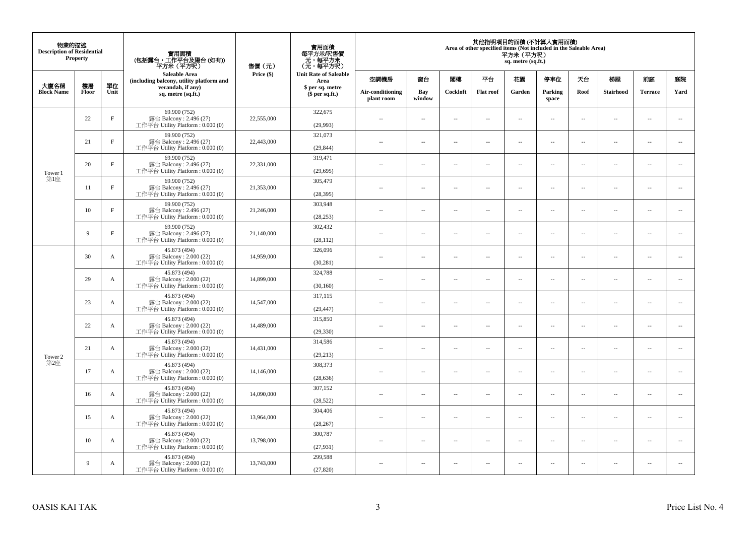| 物業的描述<br><b>Description of Residential</b><br>Property<br>大廈名稱<br>樓層<br>單位 |       |              | 實用面積<br>(包括露台,工作平台及陽台(如有))<br>平方米 (平方呎)<br><b>Saleable Area</b>              | 售價(元)      | 實用面積<br>每平方米/呎售價<br>- 元, 每平方米<br>(元, 每平方呎) | 其他指明項目的面積 (不計算入實用面積)<br>Area of other specified items (Not included in the Saleable Area)<br>平方米(平方呎)<br>sq. metre (sq.ft.) |                          |                          |                          |                          |                  |                          |                          |                          |                          |
|----------------------------------------------------------------------------|-------|--------------|------------------------------------------------------------------------------|------------|--------------------------------------------|-----------------------------------------------------------------------------------------------------------------------------|--------------------------|--------------------------|--------------------------|--------------------------|------------------|--------------------------|--------------------------|--------------------------|--------------------------|
|                                                                            |       |              | (including balcony, utility platform and                                     | Price (\$) | <b>Unit Rate of Saleable</b><br>Area       | 空調機房                                                                                                                        | 窗台                       | 閣樓                       | 平台                       | 花園                       | 停車位              | 天台                       | 梯屋                       | 前庭                       | 庭院                       |
| <b>Block Name</b>                                                          | Floor | Unit         | verandah, if any)<br>sq. metre (sq.ft.)                                      |            | \$ per sq. metre<br>\$per sq.ft.)          | Air-conditioning<br>plant room                                                                                              | Bay<br>window            | Cockloft                 | <b>Flat roof</b>         | Garden                   | Parking<br>space | Roof                     | Stairhood                | <b>Terrace</b>           | Yard                     |
|                                                                            | 22    | $\mathbf{F}$ | 69.900 (752)<br>露台 Balcony: 2.496 (27)<br>工作平台 Utility Platform: 0.000 (0)   | 22,555,000 | 322,675<br>(29,993)                        | $\sim$                                                                                                                      | $\sim$                   | $\sim$                   | $\sim$                   | μ.                       | $\sim$           | $\overline{\phantom{a}}$ | $\overline{\phantom{a}}$ | $\bar{a}$                | $\sim$                   |
|                                                                            | 21    | $\mathbf{F}$ | 69.900 (752)<br>露台 Balcony: 2.496 (27)<br>工作平台 Utility Platform: 0.000 (0)   | 22,443,000 | 321,073<br>(29, 844)                       | $\sim$                                                                                                                      | $\sim$                   | $\sim$                   | $\sim$                   | $\overline{\phantom{a}}$ | $\sim$           | $\sim$                   | $\overline{\phantom{a}}$ | $\bar{a}$                | $\sim$                   |
| Tower 1                                                                    | 20    | F            | 69.900 (752)<br>露台 Balcony: 2.496 (27)<br>工作平台 Utility Platform : $0.000(0)$ | 22,331,000 | 319,471<br>(29, 695)                       | $\sim$                                                                                                                      | $\sim$                   | $\sim$                   | $\sim$                   | $\ldots$                 | $\sim$           | $\overline{\phantom{a}}$ | $\overline{\phantom{a}}$ | $\sim$                   | $\overline{\phantom{a}}$ |
| 第1座                                                                        | 11    | $\mathbf{F}$ | 69.900 (752)<br>露台 Balcony: 2.496 (27)<br>工作平台 Utility Platform: 0.000 (0)   | 21,353,000 | 305,479<br>(28, 395)                       | $\sim$                                                                                                                      | $\sim$                   | $\sim$                   | $\sim$                   | $\sim$                   | $\sim$           | $\overline{\phantom{a}}$ | $\sim$                   | $\sim$                   | $\overline{\phantom{a}}$ |
|                                                                            | 10    | $\mathbf{F}$ | 69.900 (752)<br>露台 Balcony: 2.496 (27)<br>工作平台 Utility Platform: 0.000 (0)   | 21,246,000 | 303,948<br>(28, 253)                       |                                                                                                                             | $\sim$                   | $\sim$                   | $\ddot{\phantom{a}}$     | μ.                       | $\sim$           | $\sim$                   | $\overline{\phantom{a}}$ | $\bar{a}$                | $\sim$                   |
|                                                                            | 9     | $\mathbf{F}$ | 69.900 (752)<br>露台 Balcony: 2.496 (27)<br>工作平台 Utility Platform: 0.000 (0)   | 21,140,000 | 302,432<br>(28, 112)                       | $\sim$                                                                                                                      | $\overline{a}$           | $\sim$                   | $\sim$                   | $\overline{a}$           | $\sim$           | $\sim$                   | $\overline{\phantom{a}}$ | $\sim$                   | $\sim$                   |
|                                                                            | 30    | A            | 45.873 (494)<br>露台 Balcony: 2.000 (22)<br>工作平台 Utility Platform : $0.000(0)$ | 14.959,000 | 326,096<br>(30, 281)                       | $\sim$ $-$                                                                                                                  | $\sim$                   | $\sim$                   | $\sim$                   | $\overline{\phantom{a}}$ | $\sim$           | $\overline{\phantom{a}}$ | $\overline{\phantom{a}}$ | $\sim$                   | $\overline{\phantom{a}}$ |
|                                                                            | 29    | A            | 45.873 (494)<br>露台 Balcony: 2.000 (22)<br>工作平台 Utility Platform: 0.000 (0)   | 14,899,000 | 324,788<br>(30, 160)                       | $\sim$                                                                                                                      | $\sim$                   | $\sim$                   | $\sim$                   | $\sim$                   | $\sim$           | $\sim$                   | $\sim$                   | $\sim$                   | $\sim$                   |
|                                                                            | 23    | A            | 45.873 (494)<br>露台 Balcony: $2.000(22)$<br>工作平台 Utility Platform: 0.000 (0)  | 14,547,000 | 317,115<br>(29, 447)                       | $\sim$                                                                                                                      | $\sim$                   | $\sim$                   | $\sim$                   | $\overline{\phantom{a}}$ | $\sim$           | $\overline{\phantom{a}}$ | $\overline{\phantom{a}}$ | $\sim$                   | $\overline{\phantom{a}}$ |
|                                                                            | 22    | $\mathbf{A}$ | 45.873 (494)<br>露台 Balcony: 2.000 (22)<br>工作平台 Utility Platform: 0.000 (0)   | 14,489,000 | 315,850<br>(29, 330)                       | $\sim$                                                                                                                      | $\sim$                   | $\sim$                   | $\sim$                   | μ.                       | $\sim$           | $\sim$                   | $\overline{\phantom{a}}$ | $\bar{a}$                | $\sim$                   |
| Tower 2                                                                    | 21    | A            | 45.873 (494)<br>露台 Balcony: 2.000 (22)<br>工作平台 Utility Platform : $0.000(0)$ | 14,431,000 | 314,586<br>(29, 213)                       | $-$                                                                                                                         | ÷.                       | $\ddot{\phantom{a}}$     | $\sim$                   | $\overline{a}$           | $\sim$           | $\overline{\phantom{a}}$ | $\overline{\phantom{a}}$ | $\sim$                   | $\sim$                   |
| 第2座                                                                        | 17    | A            | 45.873 (494)<br>露台 Balcony: 2.000 (22)<br>工作平台 Utility Platform: 0.000 (0)   | 14,146,000 | 308,373<br>(28, 636)                       | $\sim$                                                                                                                      | $\sim$                   | $\sim$                   | $\sim$                   | $\sim$                   | $\sim$           | $\sim$                   | $\sim$                   | $\sim$                   | $\sim$                   |
|                                                                            | 16    | A            | 45.873 (494)<br>露台 Balcony: 2.000 (22)<br>工作平台 Utility Platform: 0.000 (0)   | 14,090,000 | 307,152<br>(28, 522)                       | $-$                                                                                                                         | $\sim$                   | $\sim$                   | $\sim$                   | $\overline{\phantom{a}}$ | $\sim$           | $\sim$                   | $\overline{\phantom{a}}$ | $\overline{\phantom{a}}$ | $\sim$                   |
|                                                                            | 15    | A            | 45.873 (494)<br>露台 Balcony: 2.000 (22)<br>工作平台 Utility Platform : $0.000(0)$ | 13,964,000 | 304,406<br>(28, 267)                       | $\sim$                                                                                                                      | $\sim$                   | $\sim$                   | $\sim$                   | $\overline{a}$           | $\sim$           | $\sim$                   | $\overline{\phantom{a}}$ | $\sim$                   | $\sim$                   |
|                                                                            | 10    | A            | 45.873 (494)<br>露台 Balcony: 2.000 (22)<br>工作平台 Utility Platform : $0.000(0)$ | 13,798,000 | 300,787<br>(27, 931)                       | $\sim$ $-$                                                                                                                  | $\sim$                   | $\sim$                   | $\sim$                   | μ.                       | $\sim$           | $\overline{\phantom{a}}$ | $\overline{\phantom{a}}$ | $\sim$                   | $\sim$                   |
|                                                                            | 9     | A            | 45.873 (494)<br>露台 Balcony: 2.000 (22)<br>工作平台 Utility Platform: 0.000 (0)   | 13,743,000 | 299,588<br>(27, 820)                       | $\overline{\phantom{a}}$                                                                                                    | $\overline{\phantom{a}}$ | $\overline{\phantom{a}}$ | $\overline{\phantom{a}}$ | --                       | $\sim$           | $\overline{\phantom{a}}$ | $\cdots$                 | $\ddotsc$                | $\sim$                   |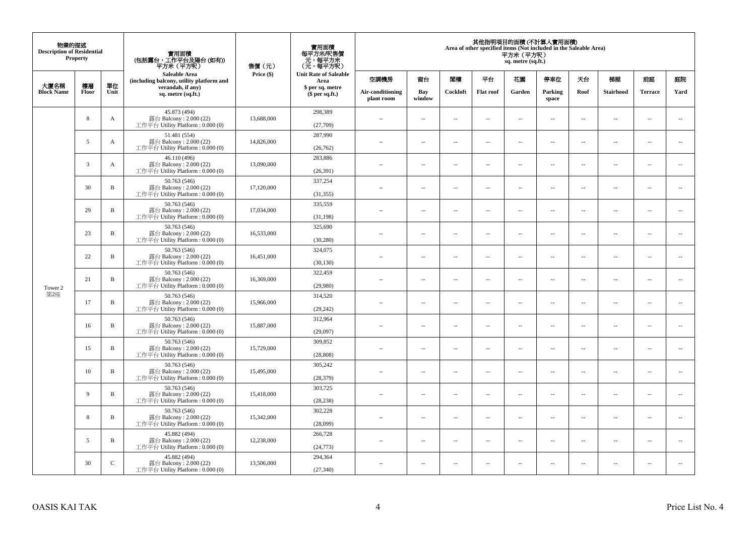| 物業的描述<br><b>Description of Residential</b> | <b>Property</b> |              | 實用面積<br>(包括露台,工作平台及陽台(如有))<br>平方米(平方呎)                                      | 售價(元)      | 實用面積<br>每平方米/呎售價<br>- 元, 每平方米<br>(元, 每平方呎) |                                |                          |                                      |                          | 平方米 (平方呎)<br>sq. metre (sq.ft.) | 其他指明項目的面積 (不計算入實用面積)<br>Area of other specified items (Not included in the Saleable Area) |                          |                          |                          |                             |    |    |    |
|--------------------------------------------|-----------------|--------------|-----------------------------------------------------------------------------|------------|--------------------------------------------|--------------------------------|--------------------------|--------------------------------------|--------------------------|---------------------------------|-------------------------------------------------------------------------------------------|--------------------------|--------------------------|--------------------------|-----------------------------|----|----|----|
| 大廈名稱                                       | 樓層              | 單位           | <b>Saleable Area</b><br>(including balcony, utility platform and            | Price (\$) |                                            |                                |                          | <b>Unit Rate of Saleable</b><br>Area | 空調機房                     | 窗台                              | 閣樓                                                                                        | 平台                       | 花園                       | 停車位                      | 天台                          | 梯屋 | 前庭 | 庭院 |
| <b>Block Name</b>                          | Floor           | Unit         | verandah, if any)<br>sq. metre (sq.ft.)                                     |            | \$ per sq. metre<br>\$per sq.ft.)          | Air-conditioning<br>plant room | Bay<br>window            | Cockloft                             | <b>Flat</b> roof         | Garden                          | Parking<br>space                                                                          | Roof                     | Stairhood                | <b>Terrace</b>           | Yard                        |    |    |    |
|                                            | 8               | A            | 45.873 (494)<br>露台 Balcony: 2.000 (22)<br>工作平台 Utility Platform: 0.000 (0)  | 13,688,000 | 298,389<br>(27,709)                        | $\ddot{\phantom{a}}$           | $\overline{\phantom{a}}$ | $\sim$                               | μ.                       | $\sim$                          | $\sim$                                                                                    | $\overline{\phantom{a}}$ | Ξ.                       | $\ddot{\phantom{a}}$     | $\sim$                      |    |    |    |
|                                            | 5               | A            | 51.481 (554)<br>露台 Balcony: 2.000 (22)<br>工作平台 Utility Platform: 0.000 (0)  | 14,826,000 | 287,990<br>(26,762)                        | $\sim$                         | $\overline{a}$           | $\sim$                               | $\sim$                   | $\sim$                          | $\sim$                                                                                    | $\sim$                   | $\sim$                   | $\sim$                   | $\mathcal{L}_{\mathcal{A}}$ |    |    |    |
|                                            | 3               | A            | 46.110 (496)<br>露台 Balcony: 2.000 (22)<br>工作平台 Utility Platform : 0.000 (0) | 13,090,000 | 283,886<br>(26, 391)                       | $\overline{\phantom{a}}$       | $\overline{\phantom{a}}$ | $\overline{\phantom{a}}$             | --                       | $\overline{\phantom{a}}$        | $\overline{\phantom{a}}$                                                                  | $\overline{\phantom{a}}$ | $\overline{\phantom{a}}$ | $\overline{\phantom{a}}$ | $\overline{\phantom{a}}$    |    |    |    |
|                                            | 30              | $\, {\bf B}$ | 50.763 (546)<br>露台 Balcony: 2.000 (22)<br>工作平台 Utility Platform: 0.000 (0)  | 17,120,000 | 337,254<br>(31, 355)                       | $\sim$                         | $\overline{\phantom{a}}$ | $\sim$                               | $\sim$                   | $\overline{\phantom{a}}$        | $\sim$                                                                                    | $\sim$                   | $\sim$                   | $\overline{\phantom{a}}$ | $\sim$                      |    |    |    |
|                                            | 29              | B            | 50.763 (546)<br>露台 Balcony: 2.000 (22)<br>工作平台 Utility Platform: 0.000 (0)  | 17,034,000 | 335,559<br>(31, 198)                       |                                | μ.                       | ÷.                                   | μ.                       | $\sim$                          | $\sim$                                                                                    | $\sim$                   | Ξ.                       | $\ddot{\phantom{a}}$     | $\sim$                      |    |    |    |
|                                            | 23              | $\, {\bf B}$ | 50.763 (546)<br>露台 Balcony: 2.000 (22)<br>工作平台 Utility Platform: 0.000 (0)  | 16,533,000 | 325,690<br>(30, 280)                       | ×.                             | $\sim$                   | $\sim$                               | $\sim$                   | $\sim$                          | $\sim$                                                                                    | $\sim$                   | $\overline{a}$           | $\sim$                   | $\sim$                      |    |    |    |
|                                            | 22              | $\, {\bf B}$ | 50.763 (546)<br>露台 Balcony: 2.000 (22)<br>工作平台 Utility Platform: 0.000 (0)  | 16,451,000 | 324,075<br>(30, 130)                       | $\sim$                         | $\overline{\phantom{a}}$ | $\sim$                               | $\overline{\phantom{a}}$ | $\overline{\phantom{a}}$        | $\overline{\phantom{a}}$                                                                  | $\overline{\phantom{a}}$ | $\overline{\phantom{a}}$ | $\overline{\phantom{a}}$ | $\overline{\phantom{a}}$    |    |    |    |
| Tower 2                                    | 21              | $\, {\bf B}$ | 50.763 (546)<br>露台 Balcony: 2.000 (22)<br>工作平台 Utility Platform: 0.000 (0)  | 16,369,000 | 322,459<br>(29,980)                        | $\sim$                         | $\overline{a}$           | $\sim$                               | $\sim$                   | $\overline{a}$                  | $\sim$                                                                                    | $\overline{\phantom{a}}$ | $\overline{\phantom{a}}$ | $\sim$                   | $\sim$                      |    |    |    |
| 第2座                                        | 17              | $\, {\bf B}$ | 50.763 (546)<br>露台 Balcony: 2.000 (22)<br>工作平台 Utility Platform: 0.000 (0)  | 15,966,000 | 314,520<br>(29, 242)                       | $\overline{\phantom{a}}$       | $\sim$                   | $\sim$                               | $\sim$                   | $\sim$                          | $\sim$                                                                                    | $\overline{\phantom{a}}$ | $\overline{a}$           | $\sim$                   | $\ddot{\phantom{a}}$        |    |    |    |
|                                            | 16              | $\, {\bf B}$ | 50.763 (546)<br>露台 Balcony: 2.000 (22)<br>工作平台 Utility Platform: 0.000 (0)  | 15,887,000 | 312,964<br>(29,097)                        | $\sim$                         | $\sim$                   | $\sim$                               | $\sim$                   | $\sim$ $\sim$                   | $\overline{\phantom{a}}$                                                                  | $\sim$                   | $\sim$                   | $\overline{\phantom{a}}$ | $\overline{\phantom{a}}$    |    |    |    |
|                                            | 15              | B            | 50.763 (546)<br>露台 Balcony: 2.000 (22)<br>工作平台 Utility Platform : 0.000 (0) | 15,729,000 | 309,852<br>(28, 808)                       |                                | $\overline{\phantom{a}}$ | $\sim$                               | μ.                       | $\sim$                          | $\sim$                                                                                    | $\overline{\phantom{a}}$ | Ξ.                       | $\ddot{\phantom{a}}$     | $\sim$                      |    |    |    |
|                                            | 10              | B            | 50.763 (546)<br>露台 Balcony: 2.000 (22)<br>工作平台 Utility Platform : 0.000 (0) | 15,495,000 | 305,242<br>(28, 379)                       | $\sim$                         | $\overline{a}$           | $\sim$                               | $\sim$                   | $\overline{a}$                  | $\sim$                                                                                    | $\overline{\phantom{a}}$ | $\overline{\phantom{a}}$ | $\sim$                   | $\sim$                      |    |    |    |
|                                            | 9               | $\, {\bf B}$ | 50.763 (546)<br>露台 Balcony: 2.000 (22)<br>工作平台 Utility Platform : 0.000 (0) | 15,418,000 | 303,725<br>(28, 238)                       | 44                             | $\overline{\phantom{a}}$ | $\sim$                               | μ.                       | $\overline{\phantom{a}}$        | $\sim$                                                                                    | $\overline{\phantom{a}}$ | Ξ.                       | $\ddot{\phantom{a}}$     | $\sim$                      |    |    |    |
|                                            | 8               | $\, {\bf B}$ | 50.763 (546)<br>露台 Balcony: 2.000 (22)<br>工作平台 Utility Platform : 0.000 (0) | 15,342,000 | 302,228<br>(28,099)                        | $\sim$                         | $\sim$                   | $\sim$                               | $\sim$                   | $\sim$ $\sim$                   | $\sim$                                                                                    | $\sim$                   | $\sim$                   | $\sim$                   | $\sim$                      |    |    |    |
|                                            | 5               | $\, {\bf B}$ | 45.882 (494)<br>露台 Balcony: 2.000 (22)<br>工作平台 Utility Platform: 0.000 (0)  | 12,238,000 | 266,728<br>(24, 773)                       | $\sim$ $\sim$                  | $\overline{\phantom{a}}$ | $\sim$                               | μ.                       | $\overline{\phantom{a}}$        | $\sim$                                                                                    | $\overline{\phantom{a}}$ | $\overline{\phantom{a}}$ | $\sim$                   | $\sim$                      |    |    |    |
|                                            | 30              | $\mathsf{C}$ | 45.882 (494)<br>露台 Balcony: 2.000 (22)<br>工作平台 Utility Platform: 0.000 (0)  | 13,506,000 | 294,364<br>(27, 340)                       | $\sim$                         | $\sim$                   | $\sim$                               | $\sim$                   | $\sim$ $\sim$                   | $\sim$                                                                                    | $\overline{\phantom{a}}$ | $\sim$                   | $\sim$                   | $\sim$                      |    |    |    |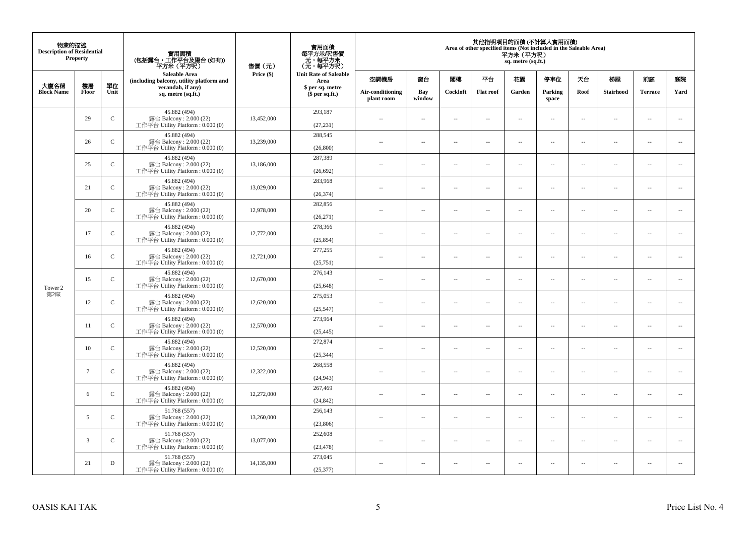| 物業的描述<br><b>Description of Residential</b> | Property        |               | 實用面積<br>(包括露台,工作平台及陽台(如有))<br>平方米(平方呎)                                      | 售價(元)      | 實用面積<br>每平方米/呎售價<br>- 元, 每平方米<br>(元, 每平方呎) |                                   |                                |                          | Area of other specified items (Not included in the Saleable Area) | 平方米 (平方呎)<br>sq. metre (sq.ft.) | 其他指明項目的面積 (不計算入實用面積)     |                          |                          |                          |                             |      |
|--------------------------------------------|-----------------|---------------|-----------------------------------------------------------------------------|------------|--------------------------------------------|-----------------------------------|--------------------------------|--------------------------|-------------------------------------------------------------------|---------------------------------|--------------------------|--------------------------|--------------------------|--------------------------|-----------------------------|------|
| 大廈名稱                                       | 樓層              | 單位            | Saleable Area<br>(including balcony, utility platform and                   | Price (\$) | <b>Unit Rate of Saleable</b><br>Area       | 空調機房                              | 窗台                             | 閨樓                       | 平台                                                                | 花園                              | 停車位                      | 天台                       | 梯屋                       | 前庭                       | 庭院                          |      |
| <b>Block Name</b>                          | Floor           | Unit          | verandah, if any)<br>sq. metre (sq.ft.)                                     |            |                                            | \$ per sq. metre<br>\$per sq.ft.) | Air-conditioning<br>plant room | Bay<br>window            | Cockloft                                                          | <b>Flat roof</b>                | Garden                   | Parking<br>space         | Roof                     | Stairhood                | <b>Terrace</b>              | Yard |
|                                            | 29              | $\mathbf C$   | 45.882 (494)<br>露台 Balcony: 2.000 (22)<br>工作平台 Utility Platform: 0.000 (0)  | 13,452,000 | 293,187<br>(27, 231)                       | ÷.                                | $\ldots$                       | $\sim$                   | μ.                                                                | $\overline{a}$                  | $\sim$                   | $\overline{\phantom{a}}$ | Ξ.                       | $\ddot{\phantom{a}}$     | $\overline{\phantom{a}}$    |      |
|                                            | 26              | ${\bf C}$     | 45.882 (494)<br>露台 Balcony: 2.000 (22)<br>工作平台 Utility Platform : 0.000 (0) | 13,239,000 | 288,545<br>(26,800)                        | $\sim$                            | $\sim$                         | $\sim$                   | $\sim$                                                            | $\sim$                          | $\sim$                   | $\sim$                   | $\overline{a}$           | $\sim$                   | $\sim$                      |      |
|                                            | 25              | $\mathbf C$   | 45.882 (494)<br>露台 Balcony: 2.000 (22)<br>工作平台 Utility Platform : 0.000 (0) | 13,186,000 | 287,389<br>(26, 692)                       | $\overline{\phantom{a}}$          | $\overline{\phantom{a}}$       | $\sim$                   | μ.                                                                | $\overline{\phantom{a}}$        | $\overline{\phantom{a}}$ | $\overline{\phantom{a}}$ | Ξ.                       | $\overline{\phantom{a}}$ | $\overline{\phantom{a}}$    |      |
|                                            | 21              | $\mathcal{C}$ | 45.882 (494)<br>露台 Balcony: 2.000 (22)<br>工作平台 Utility Platform: 0.000 (0)  | 13,029,000 | 283,968<br>(26, 374)                       | $\sim$                            | $\overline{a}$                 | $\sim$                   | $\sim$                                                            | $\sim$ $\sim$                   | $\sim$                   | $\sim$                   | $\overline{\phantom{a}}$ | $\sim$                   | $\sim$                      |      |
|                                            | 20              | $\mathbf C$   | 45.882 (494)<br>露台 Balcony: 2.000 (22)<br>工作平台 Utility Platform: 0.000 (0)  | 12,978,000 | 282,856<br>(26,271)                        |                                   | --                             | $\ddotsc$                | --                                                                | $\overline{\phantom{a}}$        | $\overline{\phantom{a}}$ | $\overline{\phantom{a}}$ | --                       | $\ddotsc$                | $\overline{\phantom{a}}$    |      |
|                                            | 17              | $\mathbf C$   | 45.882 (494)<br>露台 Balcony: 2.000 (22)<br>工作平台 Utility Platform: 0.000 (0)  | 12,772,000 | 278,366<br>(25, 854)                       | $\sim$                            | $\sim$                         | $\sim$                   | $\sim$                                                            | $\sim$ $\sim$                   | $\overline{\phantom{a}}$ | $\sim$                   | $\sim$                   | $\overline{\phantom{a}}$ | $\overline{\phantom{a}}$    |      |
|                                            | 16              | $\mathbf{C}$  | 45.882 (494)<br>露台 Balcony: 2.000 (22)<br>工作平台 Utility Platform: 0.000 (0)  | 12,721,000 | 277,255<br>(25,751)                        | ÷.                                | μ.                             | ÷.                       | μ.                                                                | Ξ.                              | $\sim$                   | $\overline{\phantom{a}}$ | Ξ.                       | $\ddot{\phantom{a}}$     | $\sim$                      |      |
| Tower 2                                    | 15              | $\mathsf{C}$  | 45.882 (494)<br>露台 Balcony: 2.000 (22)<br>工作平台 Utility Platform: 0.000 (0)  | 12,670,000 | 276,143<br>(25, 648)                       | $\overline{\phantom{a}}$          | $\sim$                         | $\sim$                   | $\sim$                                                            | $\sim$ $\sim$                   | $\sim$                   | $\overline{\phantom{a}}$ | $\sim$                   | $\sim$                   | $\mathcal{L}_{\mathcal{A}}$ |      |
| 第2座                                        | 12              | $\mathbf C$   | 45.882 (494)<br>露台 Balcony: 2.000 (22)<br>工作平台 Utility Platform: 0.000 (0)  | 12,620,000 | 275,053<br>(25, 547)                       | 44                                | $\overline{\phantom{a}}$       | $\sim$                   | μ.                                                                | $\sim$                          | $\sim$                   | $\overline{\phantom{a}}$ | Ξ.                       | $\ddot{\phantom{a}}$     | $\overline{\phantom{a}}$    |      |
|                                            | 11              | ${\bf C}$     | 45.882 (494)<br>露台 Balcony: 2.000 (22)<br>工作平台 Utility Platform : 0.000 (0) | 12,570,000 | 273,964<br>(25, 445)                       | $\sim$                            | $\overline{a}$                 | $\sim$                   | $\sim$                                                            | $\overline{a}$                  | $\sim$                   | $\sim$                   | $\overline{\phantom{a}}$ | $\sim$                   | $\sim$                      |      |
|                                            | 10              | $\mathbf C$   | 45.882 (494)<br>露台 Balcony: 2.000 (22)<br>工作平台 Utility Platform: 0.000 (0)  | 12,520,000 | 272,874<br>(25, 344)                       | 44                                | $\overline{\phantom{a}}$       | $\overline{\phantom{a}}$ | --                                                                | $\overline{\phantom{a}}$        | $\overline{\phantom{a}}$ | $\overline{\phantom{a}}$ | $\overline{\phantom{a}}$ | $\overline{\phantom{a}}$ | $\overline{\phantom{a}}$    |      |
|                                            | $7\phantom{.0}$ | $\mathcal{C}$ | 45.882 (494)<br>露台 Balcony: 2.000 (22)<br>工作平台 Utility Platform : 0.000 (0) | 12,322,000 | 268,558<br>(24, 943)                       | $\sim$                            | $\overline{\phantom{a}}$       | $\sim$                   | $\sim$                                                            | $\sim$                          | $\sim$                   | $\overline{\phantom{a}}$ | $\overline{a}$           | $\ddot{\phantom{a}}$     | $\sim$                      |      |
|                                            | 6               | $\mathbf C$   | 45.882 (494)<br>露台 Balcony: 2.000 (22)<br>工作平台 Utility Platform: 0.000 (0)  | 12,272,000 | 267,469<br>(24, 842)                       | ÷.                                | $\ldots$                       | $\sim$                   | μ.                                                                | $\overline{a}$                  | $\sim$                   | $\overline{\phantom{a}}$ | Ξ.                       | $\ddot{\phantom{a}}$     | $\sim$                      |      |
|                                            | 5               | $\mathbf C$   | 51.768 (557)<br>露台 Balcony: 2.000 (22)<br>工作平台 Utility Platform: 0.000 (0)  | 13,260,000 | 256,143<br>(23,806)                        | $\sim$                            | $\overline{\phantom{a}}$       | $\sim$                   | $\overline{\phantom{a}}$                                          | $\overline{\phantom{a}}$        | $\overline{\phantom{a}}$ | $\sim$                   | $\overline{\phantom{a}}$ | $\overline{\phantom{a}}$ | $\overline{\phantom{a}}$    |      |
|                                            | 3               | $\mathsf{C}$  | 51.768 (557)<br>露台 Balcony: 2.000 (22)<br>工作平台 Utility Platform : 0.000 (0) | 13,077,000 | 252,608<br>(23, 478)                       | $\sim$                            | $\overline{\phantom{a}}$       | $\sim$                   | μ.                                                                | $\sim$                          | $\sim$                   | $\overline{\phantom{a}}$ | $\overline{\phantom{a}}$ | $\ddot{\phantom{a}}$     | $\sim$                      |      |
|                                            | 21              | $\mathbf D$   | 51.768 (557)<br>露台 Balcony: 2.000 (22)<br>工作平台 Utility Platform: 0.000 (0)  | 14,135,000 | 273,045<br>(25, 377)                       | $\overline{a}$                    | $\sim$                         | $\sim$                   | $\sim$                                                            | $\sim$ $\sim$                   | $\sim$                   | $\sim$                   | $\sim$                   | $\sim$                   | $\sim$                      |      |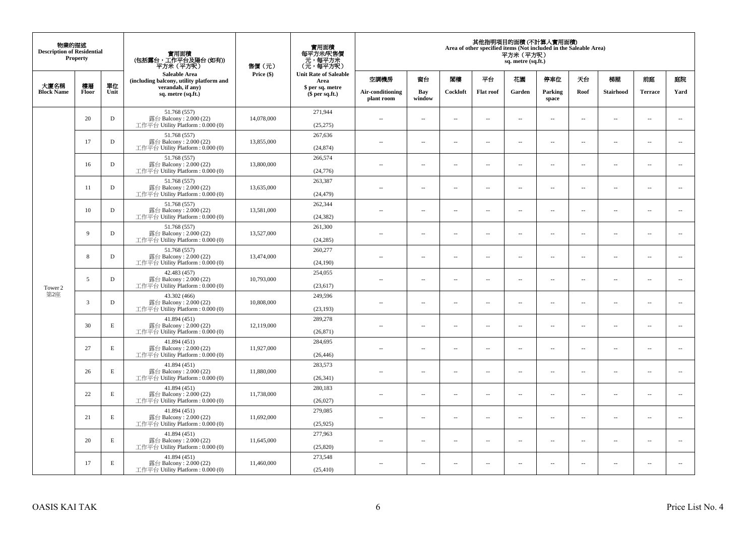| 物業的描述<br><b>Description of Residential</b> | <b>Property</b> |             | 實用面積<br>(包括露台,工作平台及陽台(如有))<br>平方米(平方呎)                                      | 售價(元)      | 實用面積<br>每平方米/呎售價<br>- 元, 每平方米<br>(元, 每平方呎) |                                |                          |                                      | Area of other specified items (Not included in the Saleable Area) | 平方米 (平方呎)<br>sq. metre (sq.ft.) | 其他指明項目的面積 (不計算入實用面積)     |                          |                          |                          |                             |    |    |    |
|--------------------------------------------|-----------------|-------------|-----------------------------------------------------------------------------|------------|--------------------------------------------|--------------------------------|--------------------------|--------------------------------------|-------------------------------------------------------------------|---------------------------------|--------------------------|--------------------------|--------------------------|--------------------------|-----------------------------|----|----|----|
| 大廈名稱                                       | 樓層              | 單位          | <b>Saleable Area</b><br>(including balcony, utility platform and            |            | Price (\$)                                 |                                |                          | <b>Unit Rate of Saleable</b><br>Area | 空調機房                                                              | 窗台                              | 閣樓                       | 平台                       | 花園                       | 停車位                      | 天台                          | 梯屋 | 前庭 | 庭院 |
| <b>Block Name</b>                          | Floor           | Unit        | verandah, if any)<br>sq. metre (sq.ft.)                                     |            | \$ per sq. metre<br>\$per sq.ft.)          | Air-conditioning<br>plant room | Bay<br>window            | Cockloft                             | <b>Flat</b> roof                                                  | Garden                          | Parking<br>space         | Roof                     | Stairhood                | <b>Terrace</b>           | Yard                        |    |    |    |
|                                            | 20              | $\mathbf D$ | 51.768 (557)<br>露台 Balcony: 2.000 (22)<br>工作平台 Utility Platform: 0.000 (0)  | 14,078,000 | 271,944<br>(25, 275)                       | $\ddot{\phantom{a}}$           | $\overline{\phantom{a}}$ | $\sim$                               | μ.                                                                | $\sim$                          | $\sim$                   | $\overline{\phantom{a}}$ | Ξ.                       | $\ddot{\phantom{a}}$     | $\overline{\phantom{a}}$    |    |    |    |
|                                            | 17              | $\mathbf D$ | 51.768 (557)<br>露台 Balcony: 2.000 (22)<br>工作平台 Utility Platform: 0.000 (0)  | 13,855,000 | 267,636<br>(24, 874)                       | $\sim$                         | $\overline{a}$           | $\sim$                               | $\sim$                                                            | $\sim$                          | $\sim$                   | $\sim$                   | $\sim$                   | $\sim$                   | $\mathcal{L}_{\mathcal{A}}$ |    |    |    |
|                                            | 16              | $\mathbf D$ | 51.768 (557)<br>露台 Balcony: 2.000 (22)<br>工作平台 Utility Platform: 0.000 (0)  | 13,800,000 | 266,574<br>(24, 776)                       | $\sim$                         | $\overline{\phantom{a}}$ | $\overline{\phantom{a}}$             | --                                                                | $\overline{\phantom{a}}$        | $\overline{\phantom{a}}$ | $\overline{\phantom{a}}$ | $\overline{\phantom{a}}$ | $\overline{\phantom{a}}$ | $\overline{\phantom{a}}$    |    |    |    |
|                                            | 11              | $\mathbf D$ | 51.768 (557)<br>露台 Balcony: 2.000 (22)<br>工作平台 Utility Platform: 0.000 (0)  | 13,635,000 | 263,387<br>(24, 479)                       | $\sim$                         | $\overline{\phantom{a}}$ | $\sim$                               | $\sim$                                                            | $\overline{\phantom{a}}$        | $\sim$                   | $\sim$                   | $\sim$                   | $\overline{\phantom{a}}$ | $\sim$                      |    |    |    |
|                                            | 10              | D           | 51.768 (557)<br>露台 Balcony: 2.000 (22)<br>工作平台 Utility Platform: 0.000 (0)  | 13,581,000 | 262,344<br>(24, 382)                       |                                | μ.                       | ÷.                                   | μ.                                                                | $\sim$                          | $\sim$                   | $\sim$                   | Ξ.                       | $\ddot{\phantom{a}}$     | $\sim$                      |    |    |    |
|                                            | 9               | $\mathbf D$ | 51.768 (557)<br>露台 Balcony: 2.000 (22)<br>工作平台 Utility Platform: 0.000 (0)  | 13,527,000 | 261,300<br>(24, 285)                       | ×.                             | $\sim$                   | $\sim$                               | $\sim$                                                            | $\sim$                          | $\sim$                   | $\sim$                   | $\overline{a}$           | $\sim$                   | $\sim$                      |    |    |    |
|                                            | 8               | $\mathbf D$ | 51.768 (557)<br>露台 Balcony: 2.000 (22)<br>工作平台 Utility Platform: 0.000 (0)  | 13,474,000 | 260,277<br>(24,190)                        | $\sim$                         | $\overline{\phantom{a}}$ | $\sim$                               | $\overline{\phantom{a}}$                                          | $\overline{\phantom{a}}$        | $\overline{\phantom{a}}$ | $\overline{\phantom{a}}$ | $\overline{\phantom{a}}$ | $\overline{\phantom{a}}$ | $\overline{\phantom{a}}$    |    |    |    |
| Tower 2                                    | 5               | $\mathbf D$ | 42.483 (457)<br>露台 Balcony: 2.000 (22)<br>工作平台 Utility Platform: 0.000 (0)  | 10,793,000 | 254,055<br>(23, 617)                       | $\sim$                         | $\overline{a}$           | $\sim$                               | $\sim$                                                            | $\overline{a}$                  | $\sim$                   | $\overline{\phantom{a}}$ | $\overline{a}$           | $\sim$                   | $\sim$                      |    |    |    |
| 第2座                                        | 3               | $\mathbf D$ | 43.302 (466)<br>露台 Balcony: 2.000 (22)<br>工作平台 Utility Platform: 0.000 (0)  | 10,808,000 | 249,596<br>(23, 193)                       | $\overline{\phantom{a}}$       | $\sim$                   | $\sim$                               | $\sim$                                                            | $\sim$                          | $\sim$                   | $\overline{\phantom{a}}$ | $\overline{a}$           | $\sim$                   | $\sim$                      |    |    |    |
|                                            | 30              | $\mathbf E$ | 41.894 (451)<br>露台 Balcony: 2.000 (22)<br>工作平台 Utility Platform: 0.000 (0)  | 12,119,000 | 289,278<br>(26, 871)                       | $\sim$                         | $\sim$                   | $\sim$                               | $\sim$                                                            | $\sim$ $\sim$                   | $\overline{\phantom{a}}$ | $\sim$                   | $\sim$                   | $\overline{\phantom{a}}$ | $\overline{\phantom{a}}$    |    |    |    |
|                                            | 27              | E           | 41.894 (451)<br>露台 Balcony: 2.000 (22)<br>工作平台 Utility Platform : 0.000 (0) | 11,927,000 | 284,695<br>(26, 446)                       |                                | $\overline{\phantom{a}}$ | $\sim$                               | μ.                                                                | $\sim$                          | $\sim$                   | $\overline{\phantom{a}}$ | Ξ.                       | $\ddot{\phantom{a}}$     | $\sim$                      |    |    |    |
|                                            | 26              | E           | 41.894 (451)<br>露台 Balcony: 2.000 (22)<br>工作平台 Utility Platform : 0.000 (0) | 11,880,000 | 283,573<br>(26, 341)                       | $\sim$                         | $\overline{a}$           | $\sim$                               | $\sim$                                                            | $\overline{a}$                  | $\sim$                   | $\overline{\phantom{a}}$ | $\overline{a}$           | $\sim$                   | $\sim$                      |    |    |    |
|                                            | 22              | $\mathbf E$ | 41.894 (451)<br>露台 Balcony: 2.000 (22)<br>工作平台 Utility Platform : 0.000 (0) | 11,738,000 | 280,183<br>(26,027)                        | 44                             | $\overline{\phantom{a}}$ | $\sim$                               | μ.                                                                | $\overline{\phantom{a}}$        | $\sim$                   | $\overline{\phantom{a}}$ | Ξ.                       | $\ddot{\phantom{a}}$     | $\sim$                      |    |    |    |
|                                            | 21              | E           | 41.894 (451)<br>露台 Balcony: 2.000 (22)<br>工作平台 Utility Platform : 0.000 (0) | 11,692,000 | 279,085<br>(25, 925)                       | $\sim$                         | $\sim$                   | $\sim$                               | $\sim$                                                            | $\sim$ $\sim$                   | $\sim$                   | $\sim$                   | $\sim$                   | $\sim$                   | $\sim$                      |    |    |    |
|                                            | 20              | E           | 41.894 (451)<br>露台 Balcony: 2.000 (22)<br>工作平台 Utility Platform: 0.000 (0)  | 11,645,000 | 277,963<br>(25,820)                        | $\sim$                         | $\overline{\phantom{a}}$ | $\sim$                               | μ.                                                                | $\overline{\phantom{a}}$        | $\sim$                   | $\overline{\phantom{a}}$ | $\overline{\phantom{a}}$ | $\sim$                   | $\sim$                      |    |    |    |
|                                            | 17              | E           | 41.894 (451)<br>露台 Balcony: 2.000 (22)<br>工作平台 Utility Platform: 0.000 (0)  | 11,460,000 | 273,548<br>(25, 410)                       | $\sim$                         | $\sim$                   | $\sim$                               | $\sim$                                                            | $\sim$ $\sim$                   | $\sim$                   | $\overline{\phantom{a}}$ | $\sim$                   | $\sim$                   | $\sim$                      |    |    |    |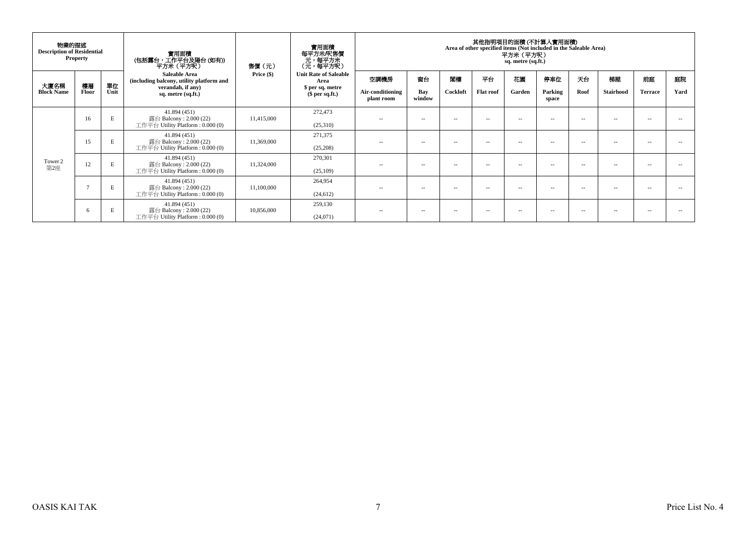| 物業的描述<br><b>Description of Residential</b><br><b>Property</b> |             |            | 實用面積<br>(包括露台,工作平台及陽台(如有))<br>平方米(平方呎)                                                                      | 售價(元)        | 實用面積<br>每平方米/呎售價<br>元,每平方米<br>(元,每平方呎)                                       |                                        | 其他指明項目的面積(不計算入實用面積)<br>Area of other specified items (Not included in the Saleable Area)<br>平方米 (平方呎)<br>sq. metre (sq.ft.) |                |                        |              |                         |               |                 |                      |            |
|---------------------------------------------------------------|-------------|------------|-------------------------------------------------------------------------------------------------------------|--------------|------------------------------------------------------------------------------|----------------------------------------|-----------------------------------------------------------------------------------------------------------------------------|----------------|------------------------|--------------|-------------------------|---------------|-----------------|----------------------|------------|
| 大廈名稱<br><b>Block Name</b>                                     | 樓層<br>Floor | 單位<br>Unit | <b>Saleable Area</b><br>(including balcony, utility platform and<br>verandah, if any)<br>sq. metre (sq.ft.) | Price $(\$)$ | <b>Unit Rate of Saleable</b><br>Area<br>\$ per sq. metre<br>$$per sq.fit.$ ) | 空調機房<br>Air-conditioning<br>plant room | 窗台<br>Bay<br>window                                                                                                         | 閣樓<br>Cockloft | 平台<br><b>Flat roof</b> | 花園<br>Garden | 停車位<br>Parking<br>space | 天台<br>Roof    | 梯屋<br>Stairhood | 前庭<br><b>Terrace</b> | 庭院<br>Yard |
|                                                               | 16          | E          | 41.894(451)<br>露台 Balcony: 2.000 (22)<br>工作平台 Utility Platform : $0.000(0)$                                 | 11,415,000   | 272,473<br>(25,310)                                                          | $\sim$                                 | -                                                                                                                           | $\sim$ $\sim$  | $\sim$                 | -            | $\sim$ $\sim$           | $\sim$ $\sim$ | --              | $\sim$ $\sim$        |            |
|                                                               | 15          | Е          | 41.894(451)<br>露台 Balcony: 2.000 (22)<br>工作平台 Utility Platform : $0.000(0)$                                 | 11,369,000   | 271,375<br>(25,208)                                                          | $\sim$ $-$                             | -                                                                                                                           | $\sim$ $\sim$  | $\sim$                 | -            | -                       | $ -$          | $\sim$          | $\sim$               |            |
| Tower 2<br>第2座                                                | 12          | E          | 41.894(451)<br>露台 Balcony: 2.000 (22)<br>工作平台 Utility Platform : $0.000(0)$                                 | 11,324,000   | 270,301<br>(25,109)                                                          | $\sim$ $-$                             | $\sim$                                                                                                                      | $\sim$         | $\sim$                 | $\sim$       | $\sim$ $-$              | $ -$          | $\sim$          | $\sim$               | --         |
|                                                               |             | Е          | 41.894(451)<br>露台 Balcony : 2.000 (22)<br>工作平台 Utility Platform : $0.000(0)$                                | 11,100,000   | 264.954<br>(24, 612)                                                         | $\sim$ $-$                             | -                                                                                                                           | $\sim$         | $\sim$                 | -            | -                       | $\sim$        | $\sim$          | $\sim$               |            |
|                                                               | -6          | Е          | 41.894(451)<br>露台 Balcony: $2.000(22)$<br>工作平台 Utility Platform : 0.000 (0)                                 | 10,856,000   | 259,130<br>(24,071)                                                          | $\sim$ $-$                             | $\sim$ $\sim$                                                                                                               | $\sim$ $\sim$  | $\sim$                 | $\sim$       | $\sim$ $\sim$           | $ -$          | $\sim$          | $\sim$ $-$           |            |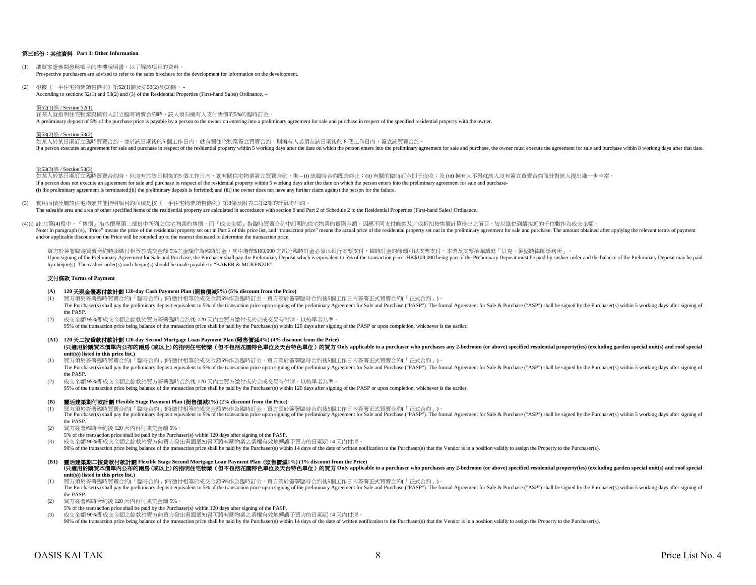#### 第三部份:其他資料 **Part 3: Other Information**

- (1) 準買家應參閱發展項目的售樓說明書,以了解該項目的資料。 Prospective purchasers are advised to refer to the sales brochure for the development for information on the development.
- (2) 根據《一手住宅物業銷售條例》第52(1)條及第53(2)及(3)條, According to sections 52(1) and 53(2) and (3) of the Residential Properties (First-hand Sales) Ordinance, –

#### 第52(1)條 / Section 52(1)

在某人就指明住宅物業與擁有人訂立臨時買賣合約時,該人須向擁有人支付售價的5%的臨時訂金。 A preliminary deposit of 5% of the purchase price is payable by a person to the owner on entering into a preliminary agreement for sale and purchase in respect of the specified residential property with the owner.

#### 第53(2)條 / Section 53(2)

如某人於某日期訂立臨時買賣合約,並於該日期後的5 個工作日內,就有關住宅物業簽立買賣合約,則擁有人必須在該日期後的8個工作日內,簽立該買賣合約。 If a person executes an agreement for sale and purchase in respect of the residential property within 5 working days after the date on which the person enters into the preliminary agreement for sale and purchase, the owner

第53(3)條 / Section 53(3)

如某人於某日期訂立臨時買賣合約時,但沒有於該日期後的5 個工作日内,就有關住宅物業簽立買賣合約,則 – (i) 該臨時合約即告終止;(ii) 有關的臨時訂金即予沒收;及 (iii) 擁有人不得就該人沒有簽立買賣合約而針對該人提出進一步申索。 If a person does not execute an agreement for sale and purchase in respect of the residential property within 5 working days after the date on which the person enters into the preliminary agreement for sale and purchase-(i) the preliminary agreement is terminated;(ii) the preliminary deposit is forfeited; and (iii) the owner does not have any further claim against the person for the failure.

- (3) 實用面積及屬該住宅物業其他指明項目的面積是按《一手住宅物業銷售條例》第8條及附表二第2部的計算得出的。 The saleable area and area of other specified items of the residential property are calculated in accordance with section 8 and Part 2 of Schedule 2 to the Residential Properties (First-hand Sales) Ordinance.
- (4)(i) 註:在第(4)段中,『售價』指本價單第二部份中所列之住宅物業的售價,而『成交金額』指臨時買賣合約中訂明的住宅物業的實際金額。因應不同支付條款及/或折扣按售價計算得出之價目,皆以進位到最接近的千位數作為成交金額。 Note: In paragraph (4), "Price" means the price of the residential property set out in Part 2 of this price list, and "transaction price" means the actual price of the residential property set out in the preliminary agreem and/or applicable discounts on the Price will be rounded up to the nearest thousand to determine the transaction price.

買方於簽署臨時買賣合約時須繳付相等於成交金額5%之金額作為臨時訂金,其中港幣\$100,000 之部分臨時訂金必須以銀行本票支付,臨時訂金的餘額可以支票支付,本票及支票抬頭請寫「貝克·麥堅時律師事務所」。 Upon signing of the Preliminary Agreement for Sale and Purchase, the Purchaser shall pay the Preliminary Deposit which is equivalent to 5% of the transaction price. HK\$100,000 being part of the Preliminary Deposit mast be by cheque(s). The cashier order(s) and cheque(s) should be made payable to "BAKER & MCKENZIE".

#### 支付條款 **Terms of Payment**

#### **(A) 120** 天現金優惠付款計劃 **120-day Cash Payment Plan (**照售價減**5%) (5% discount from the Price)**

- (1) 買方須於簽署臨時買賣合約(「臨時合約」)時繳付相等於成交金額5%作為臨時訂金。買方須於簽署臨時合約後5個工作日內簽署正式買賣合約(「正式合約」)。 The Purchaser(s) shall pay the preliminary deposit equivalent to 5% of the transaction price upon signing of the preliminary Agreement for Sale and Purchase ("PASP"). The formal Agreement for Sale & Purchase ("ASP") shall the PASP.
- (2) 成交金額 95%即成交金額之餘款於買方簽署臨時合約後 120 天內由買方繳付或於完成交易時付清,以較早者為準。 95% of the transaction price being balance of the transaction price shall be paid by the Purchaser(s) within 120 days after signing of the PASP or upon completion, whichever is the earlier.
- **(A1) 120** 天二按貸款付款計劃 **120-day Second Mortgage Loan Payment Plan (**照售價減**4%) (4% discount from the Price)** (只適用於講買本價單内公布的兩房 (或以上)的指明住宅物業 (但不包括花園特色單位及天台特色單位) 的買方 Only applicable to a purchaser who purchases any 2-bedroom (or above) specified residential property(ies) (excluding garden special unit(s) and roof special **unit(s)) listed in this price list.)**
- (1) 買方須於簽署臨時買賣合約(「臨時合約」)時繳付相等於成交金額5%作為臨時訂金。買方須於簽署臨時合約後5個工作日內簽署正式買賣合約(「正式合約」)。 The Purchaser(s) shall pay the preliminary deposit equivalent to 5% of the transaction price upon signing of the preliminary Agreement for Sale and Purchase ("PASP"). The formal Agreement for Sale & Purchase ("ASP") shall the PASP.
- (2) 成交金額 95%即成交金額之餘款於買方簽署臨時合約後 120 天內由買方繳付或於完成交易時付清,以較早者為準。

95% of the transaction price being balance of the transaction price shall be paid by the Purchaser(s) within 120 days after signing of the PASP or upon completion, whichever is the earlier.

#### **(B)** 靈活建築期付款計劃 **Flexible Stage Payment Plan (**照售價減**2%) (2% discount from the Price)**

- 
- (1) 買方須於簽署臨時買賣合約(「臨時合約」)時繳付相等於成交金額5%作為臨時訂金。買方須於簽署臨時合約後5個工作日内簽署正式買賣合約(「正式合約」)。<br>The Purchaser(s) shall pay the preliminary deposit equivalent to 5% of the transaction price upon signing of the preliminary Agreement for Sale the PASP.
- (2) 買方簽署臨時合約後 120 天內再付成交金額 5%。
- 5% of the transaction price shall be paid by the Purchaser(s) within 120 days after signing of the PASP.
- (3) 成交金額 90%即成交金額之餘款於賣方向買方發出書面通知書可將有關物業之業權有效地轉讓予買方的日期起 14 天內付清。
- 90% of the transaction price being balance of the transaction price shall be paid by the Purchaser(s) within 14 days of the date of written notification to the Purchaser(s), that the Vendor is in a position validly to assi
- **(B1)** 靈活建築期二按貸款付款計劃 **Flexible Stage Second Mortgage Loan Payment Plan (**照售價減**1%) (1% discount from the Price)** (只適用於講買本價單內公布的兩房 (或以上) 的指明住宅物業 (但不包括花園特色單位及天台特色單位) 的買方 Only applicable to a purchaser who purchases any 2-bedroom (or above) specified residential property(ies) (excluding garden special unit(s) and roof special **unit(s)) listed in this price list.)**

(1) 買方須於簽署臨時買賣合約(「臨時合約」)時繳付相等於成交金額5%作為臨時訂金。買方須於簽署臨時合約後5個工作日內簽署正式買賣合約(「正式合約」)。 The Purchaser(s) shall pay the preliminary deposit equivalent to 5% of the transaction price upon signing of the preliminary Agreement for Sale and Purchase ("PASP"). The formal Agreement for Sale & Purchase ("PASP"). The the PASP.

(2) 買方簽署臨時合約後 120 天內再付成交金額 5%。

- 5% of the transaction price shall be paid by the Purchaser(s) within 120 days after signing of the PASP.
- (3) 成交金額 90%即成交金額之餘款於賣方向買方發出書面通知書可將有關物業之業權有效地轉讓予買方的日期起 14 天內付清。

90% of the transaction price being balance of the transaction price shall be paid by the Purchaser(s) within 14 days of the date of written notification to the Purchaser(s), that the Vendor is in a position validly to assi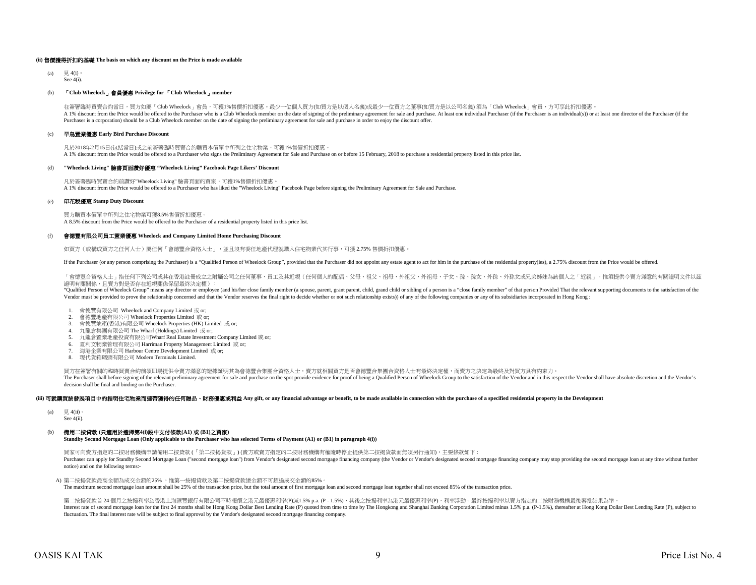#### **(ii)** 售價獲得折扣的基礎 **The basis on which any discount on the Price is made available**

 $(a)$   $\boxplus$  4(i) See  $4(i)$ .

#### (b) 「**Club Wheelock**」會員優惠 **Privilege for** 「**Club Wheelock**」**member**

A 1% discount from the Price would be offered to the Purchaser who is a Club Wheelock member on the date of signing of the preliminary agreement for sale and purchase. At least one individual Purchaser (if the Purchaser is Purchaser is a corporation) should be a Club Wheelock member on the date of signing the preliminary agreement for sale and purchase in order to enjoy the discount offer. 在簽署臨時買賣合約當日,買方如屬「Club Wheelock」會員,可獲1%售價折扣優惠。最少一位個人買方(如買方是以個人名義)或最少一位買方之董事(如買方是以公司名義) 須為「Club Wheelock」會員,方可享此折扣優惠。

#### (c) 早鳥置業優惠 **Early Bird Purchase Discount**

凡於2018年2月15日(包括當日)或之前簽署臨時買賣合約購買本價單中所列之住宅物業,可獲1%售價折扣優惠。 A 1% discount from the Price would be offered to a Purchaser who signs the Preliminary Agreement for Sale and Purchase on or before 15 February, 2018 to purchase a residential property listed in this price list.

#### (d) **"Wheelock Living"** 臉書頁面讚好優惠 **"Wheelock Living" Facebook Page Likers' Discount**

凡於簽署臨時買賣合約前讚好"Wheelock Living" 臉書頁面的買家,可獲1%售價折扣優惠。 A 1% discount from the Price would be offered to a Purchaser who has liked the "Wheelock Living" Facebook Page before signing the Preliminary Agreement for Sale and Purchase.

#### (e) 印花稅優惠 **Stamp Duty Discount**

買方購買本價單中所列之住宅物業可獲8.5%售價折扣優惠。 A 8.5% discount from the Price would be offered to the Purchaser of a residential property listed in this price list.

#### (f) 會德豐有限公司員工置業優惠 **Wheelock and Company Limited Home Purchasing Discount**

如買方(或構成買方之任何人士)屬任何「會德豐合資格人士」,並且沒有委任地產代理就購入住宅物業代其行事,可獲 2.75% 售價折扣優惠

If the Purchaser (or any person comprising the Purchaser) is a "Qualified Person of Wheelock Group", provided that the Purchaser did not appoint any estate agent to act for him in the purchase of the residential property(i

「會德豐合資格人士」指任何下列公司或其在香港註冊成立之附屬公司之任何董事、員工及其近親(任何個人的配偶、父母、祖父、祖母、外祖父、外祖母、子女、孫、孫、、外孫女或兄弟姊妹為該個人之「近親」,惟須提供令賣方滿意的有關證明文件以茲 證明有關關係,且賣方對是否存在近親關係保留最終決定權):

"Qualified Person of Wheelock Group" means any director or employee (and his/her close family member (a spouse, parent, grant parent, child, grand child or sibling of a person is a "close family member" of that person Prov Vendor must be provided to prove the relationship concerned and that the Vendor reserves the final right to decide whether or not such relationship exists)) of any of the following companies or any of its subsidiaries inco

- 1. 會德豐有限公司 Wheelock and Company Limited 或 or;
- 2. 會德豐地產有限公司 Wheelock Properties Limited 或 or;
- 3. 會德豐地產(香港)有限公司 Wheelock Properties (HK) Limited 或 or;
- 4. 九龍倉集團有限公司 The Wharf (Holdings) Limited 或 or;
- 5. 九龍倉置業地產投資有限公司Wharf Real Estate Investment Company Limited 或 or;
- 6. 夏利文物業管理有限公司 Harriman Property Management Limited 或 or;
- 7. 海港企業有限公司 Harbour Centre Development Limited 或 or;
- 8. 現代貨箱碼頭有限公司 Modern Terminals Limited.

買方在簽署有關的臨時買賣合約前須即場提供令賣方滿意的證據証明其為會德豐合集團合資格人士,賣方就相關買方是否會德豐合集團合資格人士有最終決定權,而賣方之決定為最終及對買方具有約束力。 The Purchaser shall before signing of the relevant preliminary agreement for sale and purchase on the spot provide evidence for proof of being a Qualified Person of Wheelock Group to the satisfaction of the Vendor and in t decision shall be final and binding on the Purchaser.

#### (iii) 可就購買該發展項目中的指明住宅物業而連帶獲得的任何贈品、財務優惠或利益 Any gift, or any financial advantage or benefit, to be made available in connection with the purchase of a specified residential property in the Development

- (a)  $\quad \ \ \, \overline{5}$ , 4(ii)
- See 4(ii).

## (b) 備用二按貸款 **(**只適用於選擇第**4(i)**段中支付條款**(A1)** 或 **(B1)**之買家**)**

**Standby Second Mortgage Loan (Only applicable to the Purchaser who has selected Terms of Payment (A1) or (B1) in paragraph 4(i))**

買家可向賣方指定的二按財務機構申請備用二按貸款 (「第二按揭貨款」) (賣方或賣方指定的二按財務機構有權隨時停止提供第二按揭貨款而無須另行通知),主要條款如下 : Purchaser can apply for Standby Second Mortgage Loan ("second mortgage loan") from Vendor's designated second mortgage financing company (the Vendor or Vendor's designated second mortgage financing company may stop providi notice) and on the following terms:-

## A) 第二按揭貸款最高金額為成交金額的25%, 惟第一按揭貸款及第二按揭貸款總金額不可超過成交金額的85%。

The maximum second mortgage loan amount shall be 25% of the transaction price, but the total amount of first mortgage loan and second mortgage loan together shall not exceed 85% of the transaction price.

第二按揭貨款首 24 個月之按揭利率為香港上海匯豐銀行有限公司不時報價之港元最優惠利率(P)減1.5% p.a. (P - 1.5%),其後之按揭利率為港元最優惠利率(P),利率浮動。最終按揭利率以賣方指定的二按財務機構最後審批結果為準。 Interest rate of second mortgage loan for the first 24 months shall be Hong Kong Dollar Best Lending Rate (P) quoted from time to time by The Hongkong and Shanghai Banking Corporation Limited minus 1.5% p.a. (P-1.5%), ther fluctuation. The final interest rate will be subject to final approval by the Vendor's designated second mortgage financing company.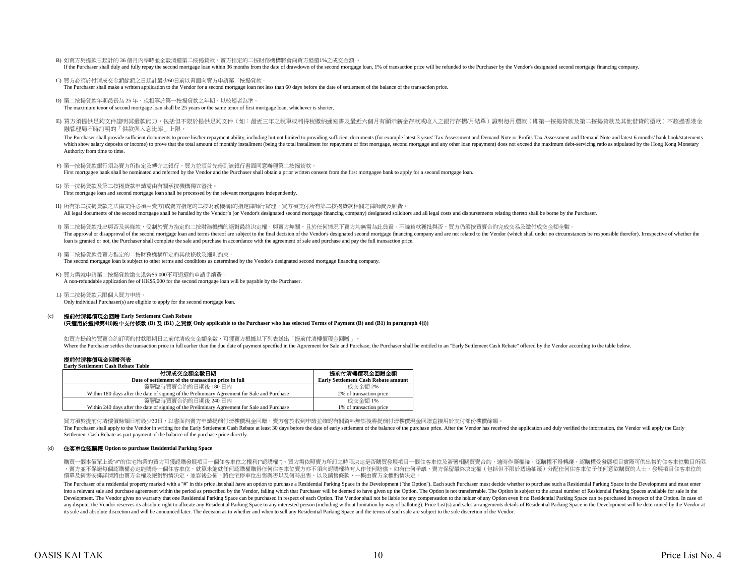- B) 如買方於提款日起計的 36 個月內準時並全數清還第二按揭貸款,賣方指定的二按財務機構將會向買方退還1%之成交金額 。 If the Purchaser shall duly and fully repay the second mortgage loan within 36 months from the date of drawdown of the second mortgage loan, 1% of transaction price will be refunded to the Purchaser by the Vendor's designa
- C) 買方必須於付清成交金額餘額之日起計最少60日前以書面向賣方申請第二按揭貸款。 The Purchaser shall make a written application to the Vendor for a second mortgage loan not less than 60 days before the date of settlement of the balance of the transaction price.
- D) 第二按揭貸款年期最長為 25 年,或相等於第一按揭貸款之年期,以較短者為準。

The maximum tenor of second mortgage loan shall be 25 years or the same tenor of first mortgage loan, whichever is shorter.

E) 買方須提供足夠文件證明其還款能力,包括但不限於提供足夠文件(如:最近三年之稅單或利得稅繳納通知書及最近六個月有顯示薪金存款或收入之銀行存摺/月結單)證明每月還款(即第一按揭貸款及第二按揭貸款及其他借貸的還款)不超過香港金 融管理局不時訂明的「供款與入息比率」上限。

The Purchaser shall provide sufficient documents to prove his/her repayment ability, including but not limited to providing sufficient documents (for example latest 3 years' Tax Assessment and Demand Note or Profits Tax As which show salary deposits or income) to prove that the total amount of monthly installment (being the total installment for repayment of first mortgage, second mortgage and any other loan repayment) does not exceed the ma Authority from time to time.

F) 第一按揭貸款銀行須為賣方所指定及轉介之銀行,買方並須首先得到該銀行書面同意辦理第二按揭貸款。 First mortgagee bank shall be nominated and referred by the Vendor and the Purchaser shall obtain a prior written consent from the first mortgagee bank to apply for a second mortgage loan.

G) 第一按揭貸款及第二按揭貸款申請需由有關承按機構獨立審批。 First mortgage loan and second mortgage loan shall be processed by the relevant mortgagees independently.

- H) 所有第二按揭貸款之法律文件必須由賣方(或賣方指定的二按財務機構)的指定律師行辦理,買方須支付所有第二按揭貸款相關之律師費及雜費 All legal documents of the second mortgage shall be handled by the Vendor's (or Vendor's designated second mortgage financing company) designated solicitors and all legal costs and disbursements relating thereto shall be b
- I) 第二按揭貸款批出與否及其條款,受制於賣方指定的二按財務機構的絕對最終決定權,與賣方無關,且於任何情況下賣方均無需為此負責。不論貸款獲批與否,買方仍須按買賣合約完成交易及繳付成交金額全數。 The approval or disapproval of the second mortgage loan and terms thereof are subject to the final decision of the Vendor's designated second mortgage financing company and are not related to the Vendor (which shall under loan is granted or not, the Purchaser shall complete the sale and purchase in accordance with the agreement of sale and purchase and pay the full transaction price.
- J) 第二按揭貨款受賣方指定的二按財務機構所定的其他條款及細則約束。 The second mortgage loan is subject to other terms and conditions as determined by the Vendor's designated second mortgage financing company.
- K) 買方需就申請第二按揭貸款繳交港幣\$5,000不可退還的申請手續費。
	- A non-refundable application fee of HK\$5,000 for the second mortgage loan will be payable by the Purchaser.
- L) 第二按揭貸款只限個人買方申請。 Only individual Purchaser(s) are eligible to apply for the second mortgage loan.

#### (c) 提前付清樓價現金回贈 **Early Settlement Cash Rebate**

#### **(**只適用於選擇第**4(i)**段中支付條款 **(B)** 及 **(B1)** 之買家 **Only applicable to the Purchaser who has selected Terms of Payment (B) and (B1) in paragraph 4(i))**

如買方提前於買賣合約訂明的付款限期日之前付清成交金額全數,可獲賣方根據以下列表送出「提前付清樓價現金回贈」。 Where the Purchaser settles the transaction price in full earlier than the due date of payment specified in the Agreement for Sale and Purchaser shall be entitled to an "Early Settlement Cash Rebate" offered by the Vendor

## 提前付清樓價現金回贈列表

**Early Settlement Cash Rebate Table**

| 付清成交金額全數日期                                                                                   | 提前付清樓價現金回贈金額                               |
|----------------------------------------------------------------------------------------------|--------------------------------------------|
| Date of settlement of the transaction price in full                                          | <b>Early Settlement Cash Rebate amount</b> |
| 簽署臨時買賣合約的日期後 180日内                                                                           | 成交金額 2%                                    |
| Within 180 days after the date of signing of the Preliminary Agreement for Sale and Purchase | 2% of transaction price                    |
| 簽署臨時買賣合約的日期後 240 日内                                                                          | 成交金額 1%                                    |
| Within 240 days after the date of signing of the Preliminary Agreement for Sale and Purchase | 1% of transaction price                    |

買方須於提前付清樓價餘額日前最少30日,以書面向賣方申請提前付清樓價現金回贈,賣方會於收到申請並確認有關資料無誤後將提前付清樓價現金回贈直接用於支付部份樓價餘額。

The Purchaser shall apply to the Vendor in writing for the Early Settlement Cash Rebate at least 30 days before the date of early settlement of the balance of the purchase price. After the Vendor has received the applicati Settlement Cash Rebate as part payment of the balance of the purchase price directly.

#### (d) 住客車位認購權 **Option to purchase Residential Parking Space**

購買一個本價單上設"#"的住宅物業的買方可獲認購發展項目一個住客車位之權利("認購權")。買方需依照賣方所訂之時限決定是否購買發展項目一個住客車位及簽署相關買賣合約,逾時作棄權論。認購權不得轉讓。認購權受發展項目實際可供出售的住客車位數目所限 ,賣方並不保證每個認購權必定能購得一個住客車位,就算未能就任何認購權購得任何住客車位賣方亦不須向認購權持有人作任何賠償。如有任何爭議,賣方保留最終決定權(包括但不限於透過抽籤)分配任何住客車位子任何意欲購買的人士。發展項目住客車位的 價單及銷售安排詳情將由賣方全權及絕對酌情決定,並容後公佈。將住宅停車位出售與否以及何時出售,以及銷售條款,一概由賣方全權酌情決定。

The Purchaser of a residential property marked with a "#" in this price list shall have an option to purchase a Residential Parking Space in the Development ("the Option"). Each such Purchaser must decide whether to purcha into a relevant sale and purchase agreement within the period as prescribed by the Vendor, failing which that Purchaser will be deemed to have given up the Option. The Option is not transferrable. The Option is subject to Development. The Vendor gives no warranty that one Residential Parking Space can be purchased in respect of each Option. The Vendor shall not be liable for any compensation to the holder of any Option even if no Residentia any dispute, the Vendor reserves its absolute right to allocate any Residential Parking Space to any interested person (including without limitation by way of balloting). Price List(s) and sales arrangements details of Res its sole and absolute discretion and will be announced later. The decision as to whether and when to sell any Residential Parking Space and the terms of such sale are subject to the sole discretion of the Vendor.